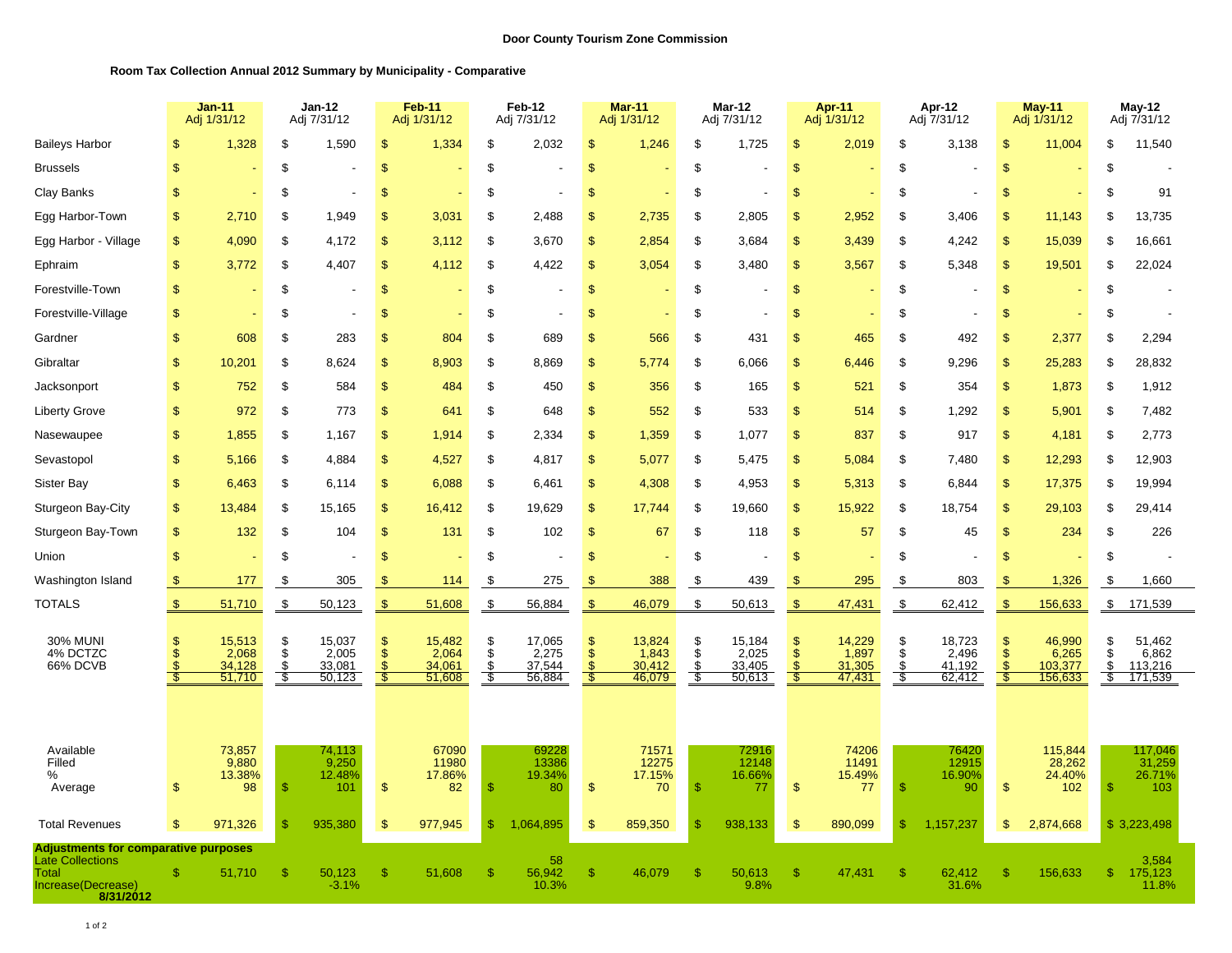## **Room Tax Collection Annual 2012 Summary by Municipality - Comparative**

|                                                                                                                    |                   | <b>Jan-11</b><br>Adj 1/31/12        |                             | <b>Jan-12</b><br>Adj 7/31/12        |                     | Feb-11<br>Adj 1/31/12               |                              | Feb-12<br>Adj 7/31/12               |                                           | <b>Mar-11</b><br>Adj 1/31/12        |                     | Mar-12<br>Adj 7/31/12               |                                                                 | Apr-11<br>Adj 1/31/12               |                              | Apr-12<br>Adj 7/31/12               |                                                 | May-11<br>Adj 1/31/12                 |                     | $May-12$<br>Adj 7/31/12               |
|--------------------------------------------------------------------------------------------------------------------|-------------------|-------------------------------------|-----------------------------|-------------------------------------|---------------------|-------------------------------------|------------------------------|-------------------------------------|-------------------------------------------|-------------------------------------|---------------------|-------------------------------------|-----------------------------------------------------------------|-------------------------------------|------------------------------|-------------------------------------|-------------------------------------------------|---------------------------------------|---------------------|---------------------------------------|
| <b>Baileys Harbor</b>                                                                                              | \$                | 1,328                               | \$                          | 1,590                               | \$                  | 1,334                               | \$                           | 2,032                               | \$                                        | 1,246                               | \$                  | 1,725                               | \$                                                              | 2,019                               | \$                           | 3,138                               | $\mathfrak{F}$                                  | 11,004                                | \$                  | 11,540                                |
| <b>Brussels</b>                                                                                                    | $\sqrt{3}$        |                                     | \$                          |                                     | \$                  |                                     | \$                           |                                     | \$                                        |                                     | \$                  |                                     | $\mathfrak{s}$                                                  |                                     | \$                           |                                     | $\sqrt[6]{3}$                                   |                                       | \$                  |                                       |
| Clay Banks                                                                                                         | $\mathbf{s}$      |                                     | \$                          | $\overline{\phantom{a}}$            | \$                  |                                     | \$                           |                                     | \$                                        |                                     | \$                  | $\blacksquare$                      | \$                                                              |                                     | \$                           |                                     | $\mathfrak{S}$                                  |                                       | \$                  | 91                                    |
| Egg Harbor-Town                                                                                                    | $\mathfrak{F}$    | 2,710                               | S                           | 1,949                               | S                   | 3,031                               | \$                           | 2,488                               | \$                                        | 2,735                               | \$                  | 2,805                               | \$                                                              | 2,952                               | \$                           | 3,406                               | $\mathbb{S}$                                    | 11,143                                | S                   | 13,735                                |
| Egg Harbor - Village                                                                                               | $\mathfrak{S}$    | 4,090                               | \$                          | 4,172                               | \$                  | 3,112                               | \$                           | 3,670                               | \$                                        | 2,854                               | \$                  | 3,684                               | $\mathbb{S}$                                                    | 3,439                               | \$                           | 4,242                               | $\mathfrak{s}$                                  | 15,039                                | \$                  | 16,661                                |
| Ephraim                                                                                                            | $\mathfrak{S}$    | 3,772                               | \$                          | 4,407                               | \$                  | 4,112                               | \$                           | 4,422                               | $\mathfrak{F}$                            | 3,054                               | \$                  | 3,480                               | \$                                                              | 3,567                               | \$                           | 5,348                               | $\mathfrak{S}$                                  | 19,501                                | \$                  | 22,024                                |
| Forestville-Town                                                                                                   | $\mathsf{\$}$     |                                     | $\$\$                       |                                     | $\mathfrak{s}$      |                                     | \$                           |                                     | $\,$                                      |                                     | \$                  |                                     | $\mathfrak{s}$                                                  |                                     | $\boldsymbol{\mathsf{S}}$    |                                     | $\,$                                            |                                       | \$                  |                                       |
| Forestville-Village                                                                                                | $\sqrt{2}$        |                                     | \$                          |                                     | \$                  |                                     | \$                           |                                     | \$                                        |                                     | \$                  |                                     | $\mathfrak{s}$                                                  |                                     | \$                           |                                     | \$                                              |                                       | \$                  |                                       |
| Gardner                                                                                                            | $\mathbf{\$}$     | 608                                 | \$                          | 283                                 | S                   | 804                                 | \$                           | 689                                 | \$                                        | 566                                 | \$                  | 431                                 | <sup>\$</sup>                                                   | 465                                 | \$                           | 492                                 | $\mathfrak{s}$                                  | 2,377                                 | \$                  | 2,294                                 |
| Gibraltar                                                                                                          | $\mathsf{\$}$     | 10,201                              | \$                          | 8,624                               | \$                  | 8,903                               | \$                           | 8,869                               | \$                                        | 5,774                               | \$                  | 6,066                               | $\sqrt{2}$                                                      | 6,446                               | \$                           | 9,296                               | $\sqrt[6]{3}$                                   | 25,283                                | \$                  | 28,832                                |
| Jacksonport                                                                                                        | $\sqrt{2}$        | 752                                 | \$                          | 584                                 | \$                  | 484                                 | \$                           | 450                                 | \$                                        | 356                                 | \$                  | 165                                 | \$                                                              | 521                                 | \$                           | 354                                 | \$                                              | 1,873                                 | \$                  | 1,912                                 |
| <b>Liberty Grove</b>                                                                                               | $\frac{1}{2}$     | 972                                 | \$                          | 773                                 | $\mathbb{S}$        | 641                                 | \$                           | 648                                 | \$                                        | 552                                 | \$                  | 533                                 | \$                                                              | 514                                 | \$                           | 1,292                               | $\sqrt[6]{3}$                                   | 5,901                                 | \$                  | 7,482                                 |
| Nasewaupee                                                                                                         | $\mathbf{\$}$     | 1,855                               | \$                          | 1,167                               | \$                  | 1,914                               | \$                           | 2,334                               | \$                                        | 1,359                               | \$                  | 1,077                               | $\mathbf{s}$                                                    | 837                                 | \$                           | 917                                 | \$                                              | 4,181                                 | \$                  | 2,773                                 |
| Sevastopol                                                                                                         | $\mathbf{\$}$     | 5,166                               | \$                          | 4,884                               | \$                  | 4,527                               | \$                           | 4,817                               | \$                                        | 5,077                               | \$                  | 5,475                               | <sup>\$</sup>                                                   | 5,084                               | \$                           | 7,480                               | $\mathfrak{S}$                                  | 12,293                                | \$                  | 12,903                                |
| Sister Bay                                                                                                         | $\sqrt{2}$        | 6,463                               | \$                          | 6,114                               | \$                  | 6,088                               | \$                           | 6,461                               | \$                                        | 4,308                               | \$                  | 4,953                               | \$                                                              | 5,313                               | \$                           | 6,844                               | $\mathfrak{F}$                                  | 17,375                                | \$                  | 19,994                                |
| Sturgeon Bay-City                                                                                                  | $\boldsymbol{\$}$ | 13,484                              | \$                          | 15,165                              | \$                  | 16,412                              | \$                           | 19,629                              | \$                                        | 17,744                              | \$                  | 19,660                              | \$                                                              | 15,922                              | \$                           | 18,754                              | \$                                              | 29,103                                | \$                  | 29,414                                |
| Sturgeon Bay-Town                                                                                                  | $\mathbf{\$}$     | 132                                 | $\sqrt[6]{\frac{1}{2}}$     | 104                                 | \$                  | 131                                 | \$                           | 102                                 | $\sqrt[6]{3}$                             | 67                                  | \$                  | 118                                 | $\mathbb{S}$                                                    | 57                                  | \$                           | 45                                  | $\sqrt{2}$                                      | 234                                   | \$                  | 226                                   |
| Union                                                                                                              | $\frac{1}{2}$     |                                     | \$                          |                                     | \$                  |                                     | \$                           |                                     | \$                                        |                                     | \$                  |                                     | $\mathfrak{s}$                                                  |                                     | \$                           |                                     | \$                                              |                                       | \$                  |                                       |
| Washington Island                                                                                                  | $\sqrt{2}$        | 177                                 | \$                          | 305                                 | S                   | 114                                 | \$                           | 275                                 | $\sqrt{3}$                                | 388                                 | \$                  | 439                                 | S                                                               | 295                                 | \$                           | 803                                 | <b>S</b>                                        | 1,326                                 | \$                  | 1,660                                 |
| <b>TOTALS</b>                                                                                                      | $\mathcal{F}$     | 51,710                              | $\sqrt[6]{2}$               | 50,123                              | $\mathfrak{F}$      | 51,608                              | $\frac{1}{2}$                | 56,884                              | $\sqrt{3}$                                | 46,079                              | £.                  | 50,613                              | $\mathfrak{F}$                                                  | 47,431                              | $\mathfrak{P}$               | 62,412                              | $\mathbb{S}$                                    | 156,633                               | \$                  | 171,539                               |
| <b>30% MUNI</b><br>4% DCTZC<br>66% DCVB                                                                            | \$                | 15,513<br>2,068<br>34,128<br>51,710 | \$<br>\$<br>$\frac{\$}{\$}$ | 15,037<br>2,005<br>33,081<br>50,123 | \$<br>\$<br>S<br>-9 | 15,482<br>2,064<br>34,061<br>51,608 | \$<br>$\ddot{\$}$<br>S<br>\$ | 17,065<br>2,275<br>37,544<br>56,884 | \$<br>$\ddot{\$}$<br>$\mathfrak{F}$<br>S. | 13,824<br>1,843<br>30,412<br>46,079 | S<br>\$<br>S<br>-\$ | 15,184<br>2,025<br>33,405<br>50,613 | <sup>\$</sup><br>$\overline{\mathbb{S}}$<br><sup>\$</sup><br>Š. | 14,229<br>1,897<br>31,305<br>47,431 | \$<br>$\dot{\$}$<br>\$<br>-8 | 18,723<br>2,496<br>41,192<br>62,412 | $\sqrt{2}$<br>$\ddot{\$}$<br>$\mathbb{S}$<br>Š. | 46,990<br>6,265<br>103,377<br>156,633 | S<br>\$<br>\$<br>S. | 51,462<br>6,862<br>113,216<br>171,539 |
| Available<br>Filled<br>%<br>Average                                                                                | $\mathfrak{F}$    | 73,857<br>9,880<br>13.38%<br>98     | <sup>\$</sup>               | 74,113<br>9,250<br>12.48%<br>101    | <sup>\$</sup>       | 67090<br>11980<br>17.86%<br>82      | $\mathbb{S}$                 | 69228<br>13386<br>19.34%<br>80      | $\mathfrak{F}$                            | 71571<br>12275<br>17.15%<br>70      | \$                  | 72916<br>12148<br>16.66%<br>77      | \$                                                              | 74206<br>11491<br>15.49%<br>77      | <sup>\$</sup>                | 76420<br>12915<br>16.90%<br>90      | $\mathfrak{S}$                                  | 115,844<br>28,262<br>24.40%<br>102    | $\mathcal{S}$       | 117,046<br>31,259<br>26.71%<br>103    |
| <b>Total Revenues</b>                                                                                              | $\mathfrak{S}$    | 971,326                             | <sup>\$</sup>               | 935,380                             | $\mathfrak{s}$      | 977,945                             | \$                           | 1,064,895                           | \$                                        | 859,350                             | S                   | 938,133                             | $\mathfrak{s}$                                                  | 890,099                             | $\mathfrak{S}$               | 1,157,237                           | $\mathfrak{F}$                                  | 2,874,668                             |                     | \$3,223,498                           |
| <b>Adjustments for comparative purposes</b><br><b>Late Collections</b><br>Total<br>Increase(Decrease)<br>8/31/2012 | $\mathbf{\$}$     | 51,710                              | -S                          | 50,123<br>$-3.1%$                   | \$                  | 51,608                              | \$                           | 58<br>56,942<br>10.3%               | $\mathbb{S}$                              | 46,079                              | <sup>\$</sup>       | 50,613<br>9.8%                      | \$                                                              | 47,431                              | $\mathbf{\$}$                | 62,412<br>31.6%                     | \$                                              | 156,633                               | \$                  | 3,584<br>175,123<br>11.8%             |